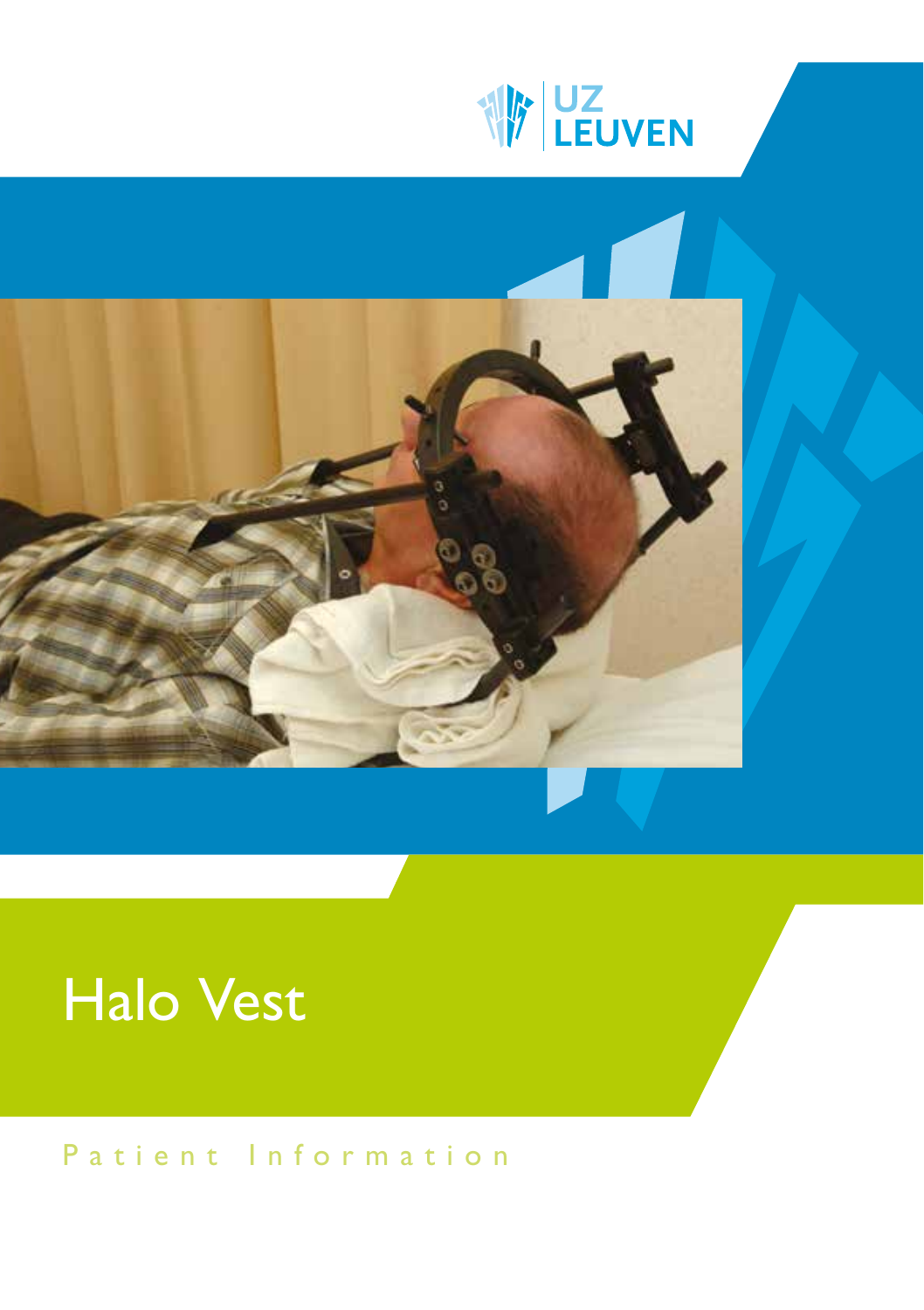



# Halo Vest

Patient Information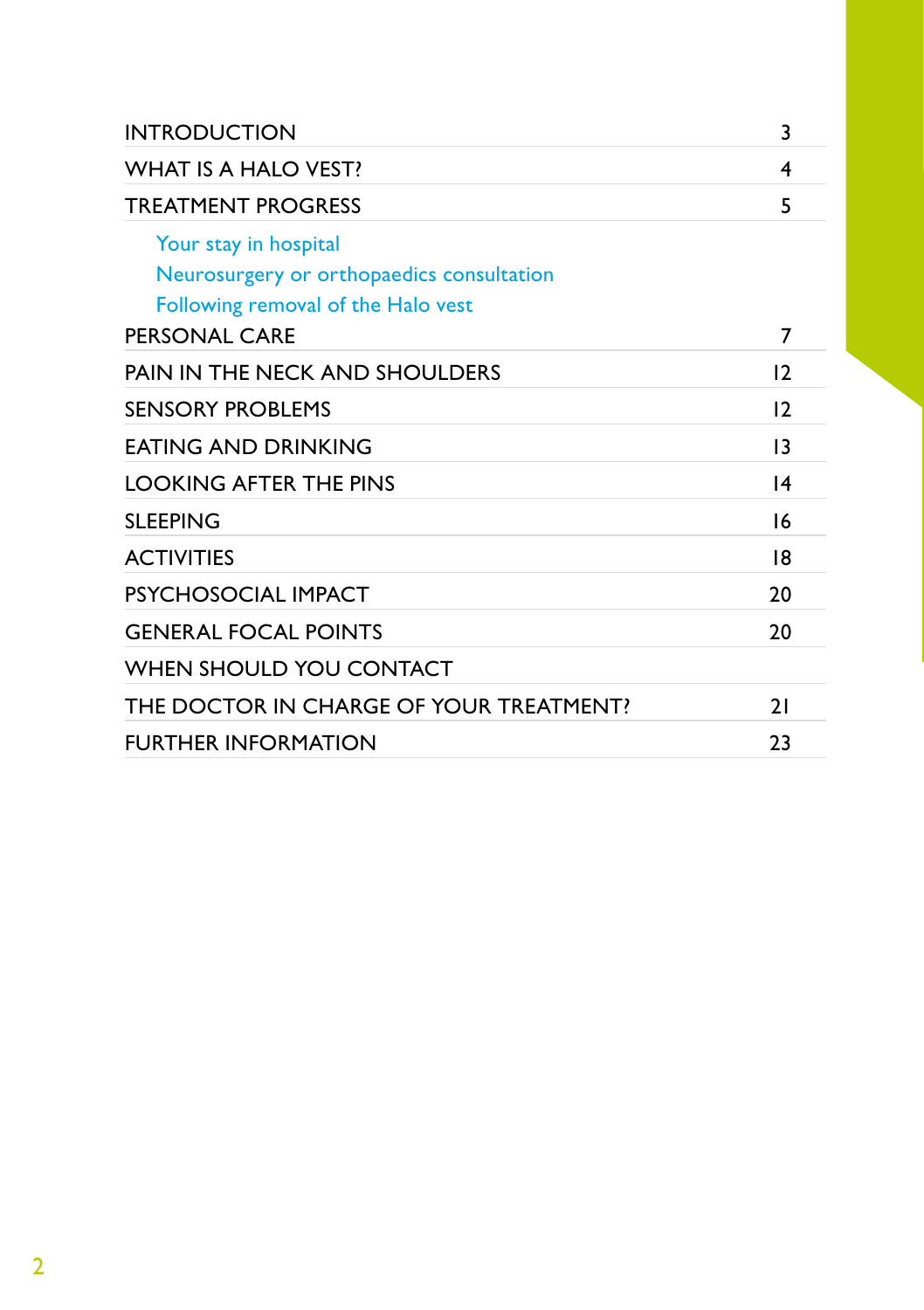| <b>INTRODUCTION</b>                                                                                      | 3               |
|----------------------------------------------------------------------------------------------------------|-----------------|
| <b>WHAT IS A HALO VEST?</b>                                                                              | 4               |
| <b>TREATMENT PROGRESS</b>                                                                                | 5               |
| Your stay in hospital<br>Neurosurgery or orthopaedics consultation<br>Following removal of the Halo vest |                 |
| <b>PERSONAL CARE</b>                                                                                     | 7               |
| PAIN IN THE NECK AND SHOULDERS                                                                           | 12              |
| <b>SENSORY PROBLEMS</b>                                                                                  | 12              |
| <b>FATING AND DRINKING</b>                                                                               | 13              |
| <b>LOOKING AFTER THE PINS</b>                                                                            | $\overline{14}$ |
| <b>SLEEPING</b>                                                                                          | 16              |
| <b>ACTIVITIES</b>                                                                                        | 18              |
| PSYCHOSOCIAL IMPACT                                                                                      | 20              |
| <b>GENERAL FOCAL POINTS</b>                                                                              | 20              |
| <b>WHEN SHOULD YOU CONTACT</b>                                                                           |                 |
| THE DOCTOR IN CHARGE OF YOUR TREATMENT?                                                                  | 21              |
| <b>FURTHER INFORMATION</b>                                                                               | 23              |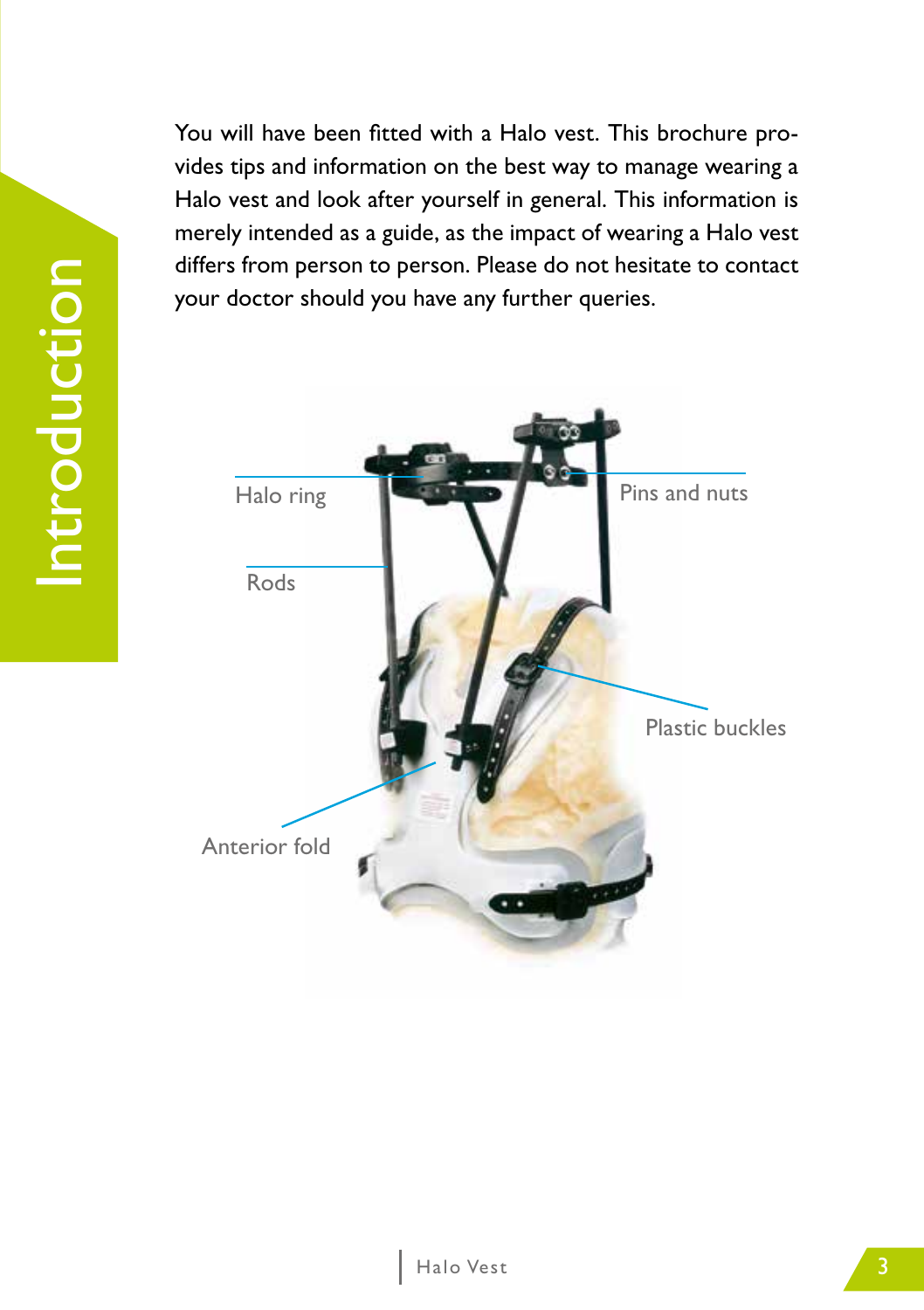Introduction Introduction

You will have been fitted with a Halo vest. This brochure provides tips and information on the best way to manage wearing a Halo vest and look after yourself in general. This information is merely intended as a guide, as the impact of wearing a Halo vest differs from person to person. Please do not hesitate to contact your doctor should you have any further queries.

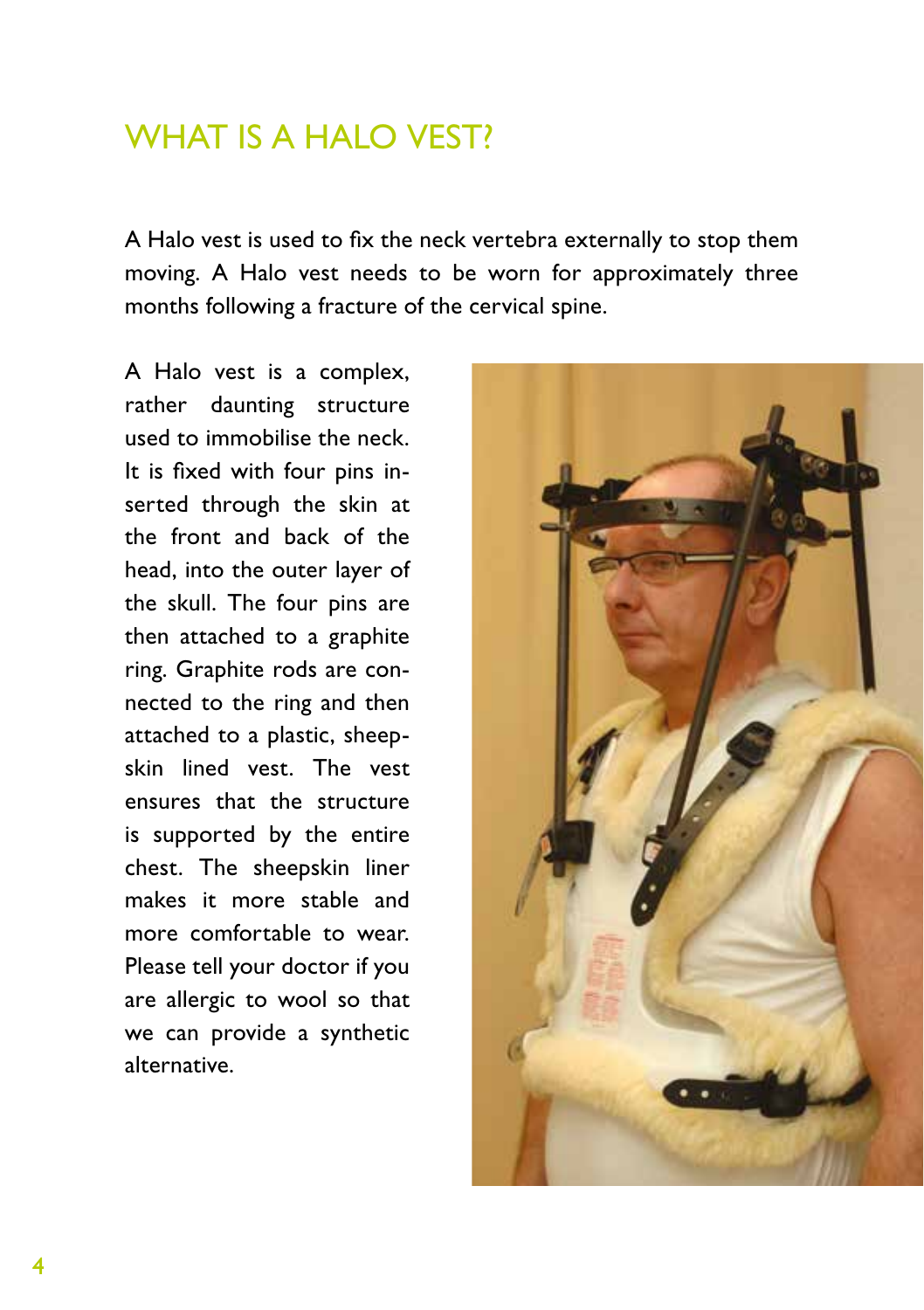### WHAT IS A HALO VEST?

A Halo vest is used to fix the neck vertebra externally to stop them moving. A Halo vest needs to be worn for approximately three months following a fracture of the cervical spine.

A Halo vest is a complex, rather daunting structure used to immobilise the neck. It is fixed with four pins inserted through the skin at the front and back of the head, into the outer layer of the skull. The four pins are then attached to a graphite ring. Graphite rods are connected to the ring and then attached to a plastic, sheepskin lined vest. The vest ensures that the structure is supported by the entire chest. The sheepskin liner makes it more stable and more comfortable to wear. Please tell your doctor if you are allergic to wool so that we can provide a synthetic alternative.

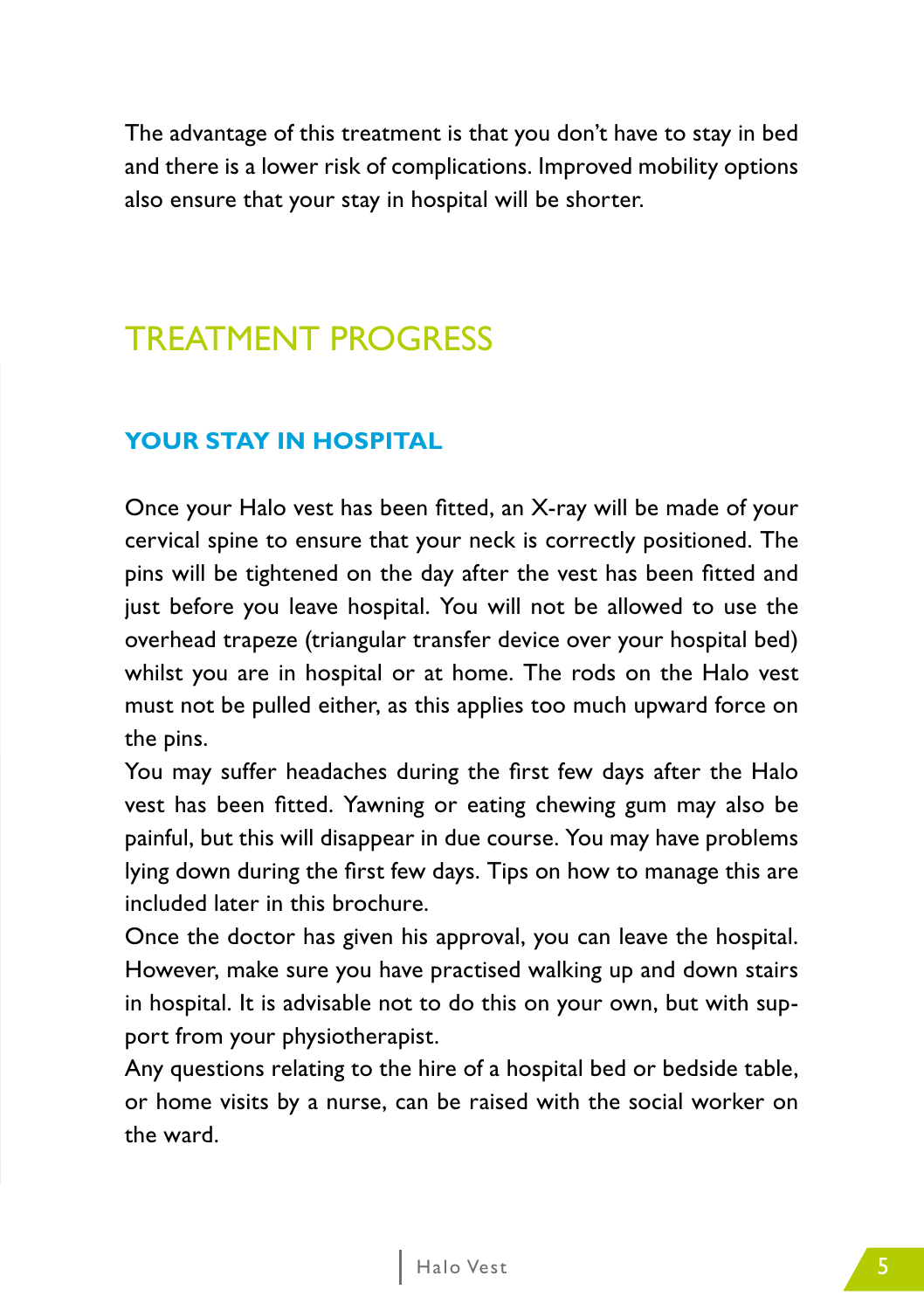The advantage of this treatment is that you don't have to stay in bed and there is a lower risk of complications. Improved mobility options also ensure that your stay in hospital will be shorter.

### TREATMENT PROGRESS

#### **YOUR STAY IN HOSPITAL**

Once your Halo vest has been fitted, an X-ray will be made of your cervical spine to ensure that your neck is correctly positioned. The pins will be tightened on the day after the vest has been fitted and just before you leave hospital. You will not be allowed to use the overhead trapeze (triangular transfer device over your hospital bed) whilst you are in hospital or at home. The rods on the Halo vest must not be pulled either, as this applies too much upward force on the pins.

You may suffer headaches during the first few days after the Halo vest has been fitted. Yawning or eating chewing gum may also be painful, but this will disappear in due course. You may have problems lying down during the first few days. Tips on how to manage this are included later in this brochure.

Once the doctor has given his approval, you can leave the hospital. However, make sure you have practised walking up and down stairs in hospital. It is advisable not to do this on your own, but with support from your physiotherapist.

Any questions relating to the hire of a hospital bed or bedside table, or home visits by a nurse, can be raised with the social worker on the ward.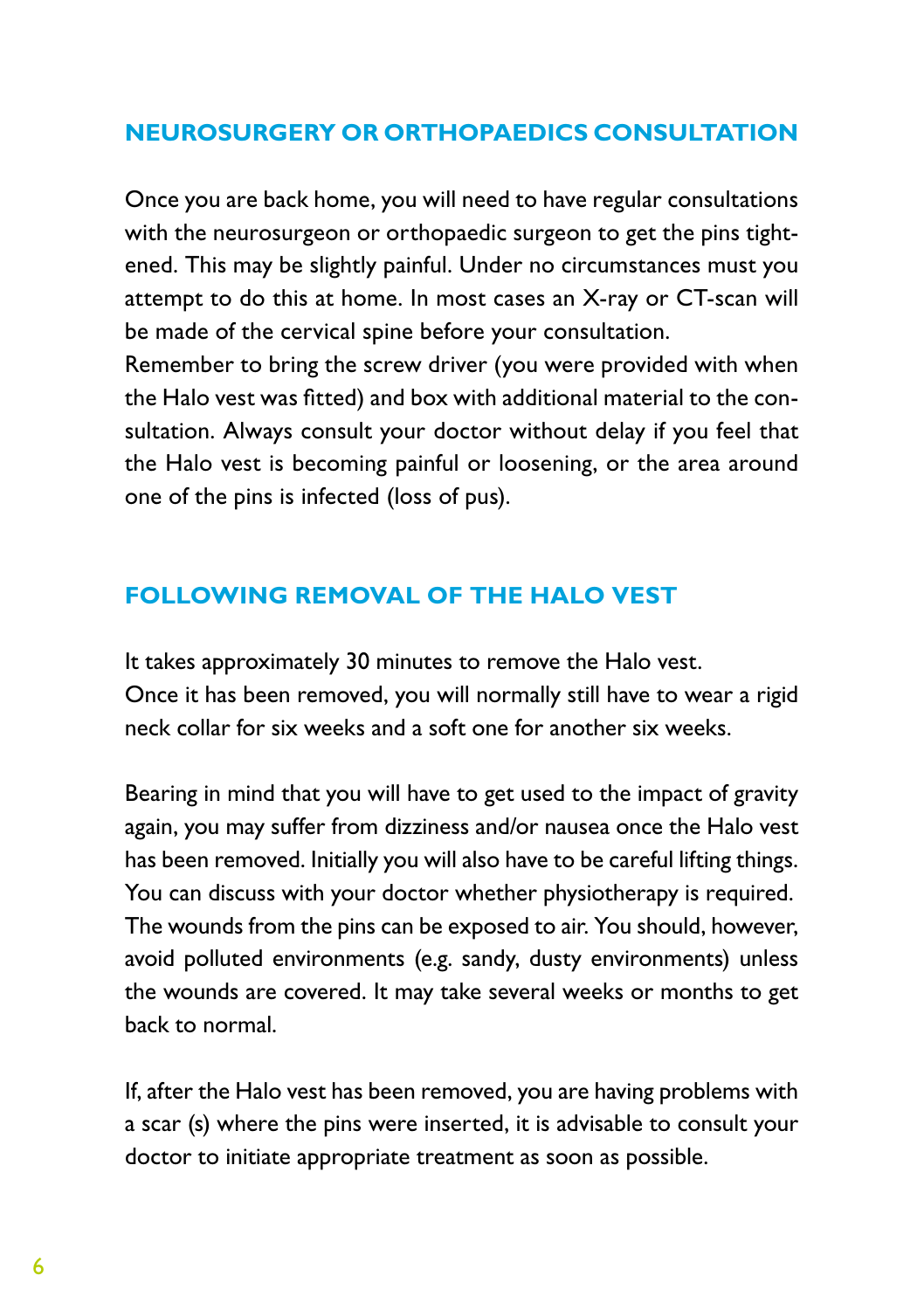#### **NEUROSURGERY OR ORTHOPAEDICS CONSULTATION**

Once you are back home, you will need to have regular consultations with the neurosurgeon or orthopaedic surgeon to get the pins tightened. This may be slightly painful. Under no circumstances must you attempt to do this at home. In most cases an X-ray or CT-scan will be made of the cervical spine before your consultation.

Remember to bring the screw driver (you were provided with when the Halo vest was fitted) and box with additional material to the consultation. Always consult your doctor without delay if you feel that the Halo vest is becoming painful or loosening, or the area around one of the pins is infected (loss of pus).

#### **FOLLOWING REMOVAL OF THE HALO VEST**

It takes approximately 30 minutes to remove the Halo vest. Once it has been removed, you will normally still have to wear a rigid neck collar for six weeks and a soft one for another six weeks.

Bearing in mind that you will have to get used to the impact of gravity again, you may suffer from dizziness and/or nausea once the Halo vest has been removed. Initially you will also have to be careful lifting things. You can discuss with your doctor whether physiotherapy is required. The wounds from the pins can be exposed to air. You should, however, avoid polluted environments (e.g. sandy, dusty environments) unless the wounds are covered. It may take several weeks or months to get back to normal.

If, after the Halo vest has been removed, you are having problems with a scar (s) where the pins were inserted, it is advisable to consult your doctor to initiate appropriate treatment as soon as possible.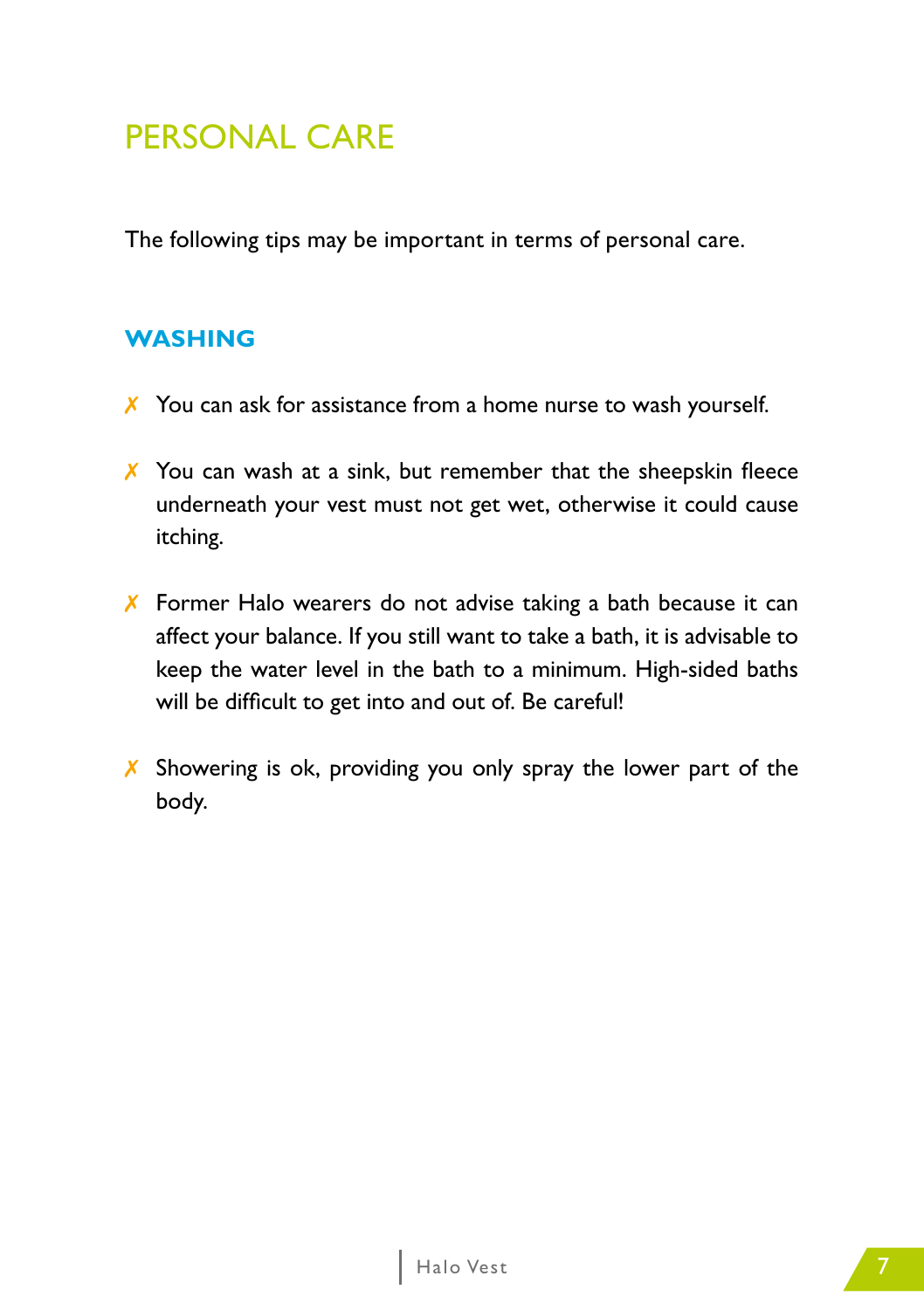### PERSONAL CARE

The following tips may be important in terms of personal care.

#### **WASHING**

- ✗ You can ask for assistance from a home nurse to wash yourself.
- X You can wash at a sink, but remember that the sheepskin fleece underneath your vest must not get wet, otherwise it could cause itching.
- ✗ Former Halo wearers do not advise taking a bath because it can affect your balance. If you still want to take a bath, it is advisable to keep the water level in the bath to a minimum. High-sided baths will be difficult to get into and out of. Be careful!
- X Showering is ok, providing you only spray the lower part of the body.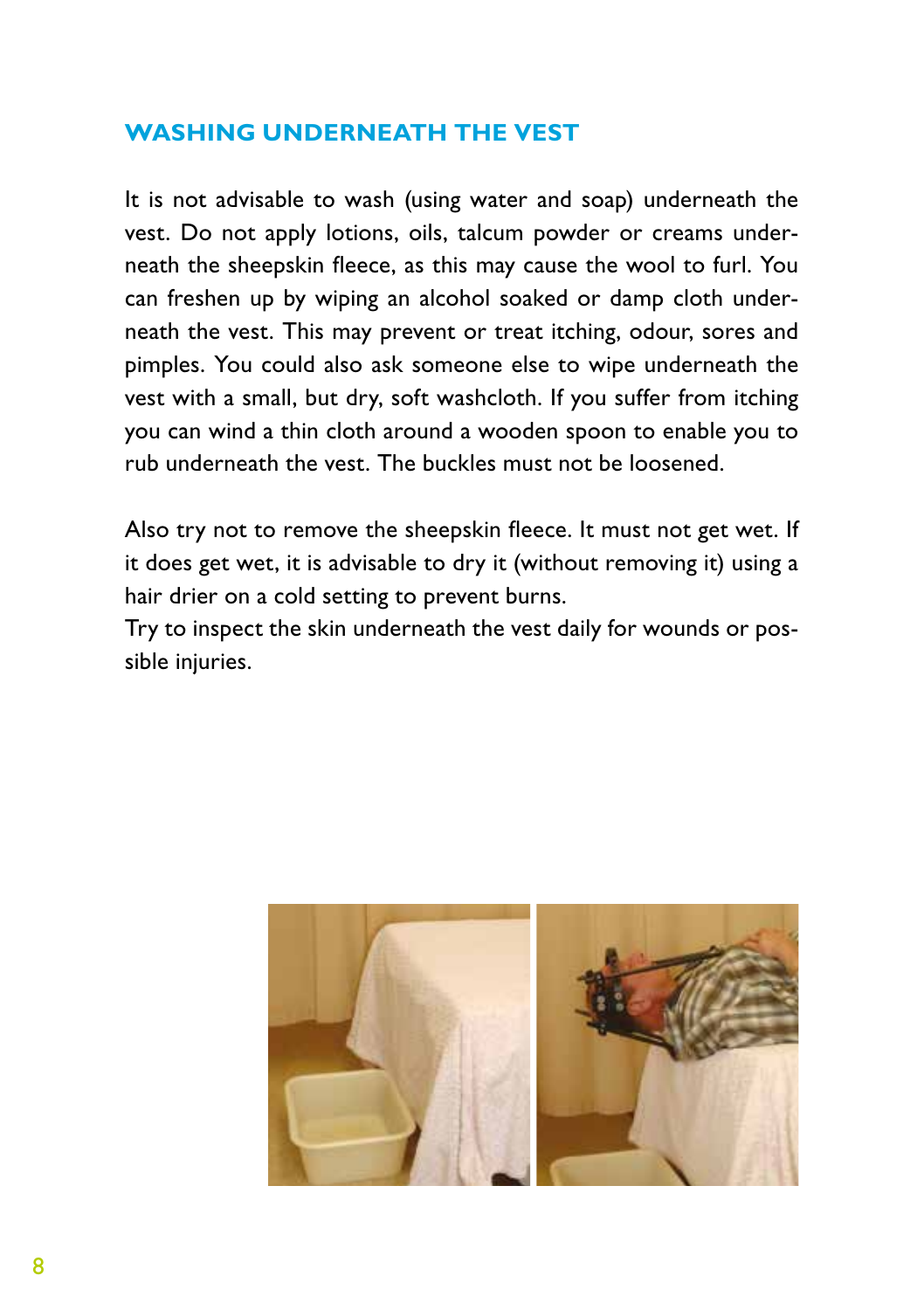#### **WASHING UNDERNEATH THE VEST**

It is not advisable to wash (using water and soap) underneath the vest. Do not apply lotions, oils, talcum powder or creams underneath the sheepskin fleece, as this may cause the wool to furl. You can freshen up by wiping an alcohol soaked or damp cloth underneath the vest. This may prevent or treat itching, odour, sores and pimples. You could also ask someone else to wipe underneath the vest with a small, but dry, soft washcloth. If you suffer from itching you can wind a thin cloth around a wooden spoon to enable you to rub underneath the vest. The buckles must not be loosened.

Also try not to remove the sheepskin fleece. It must not get wet. If it does get wet, it is advisable to dry it (without removing it) using a hair drier on a cold setting to prevent burns.

Try to inspect the skin underneath the vest daily for wounds or possible injuries.

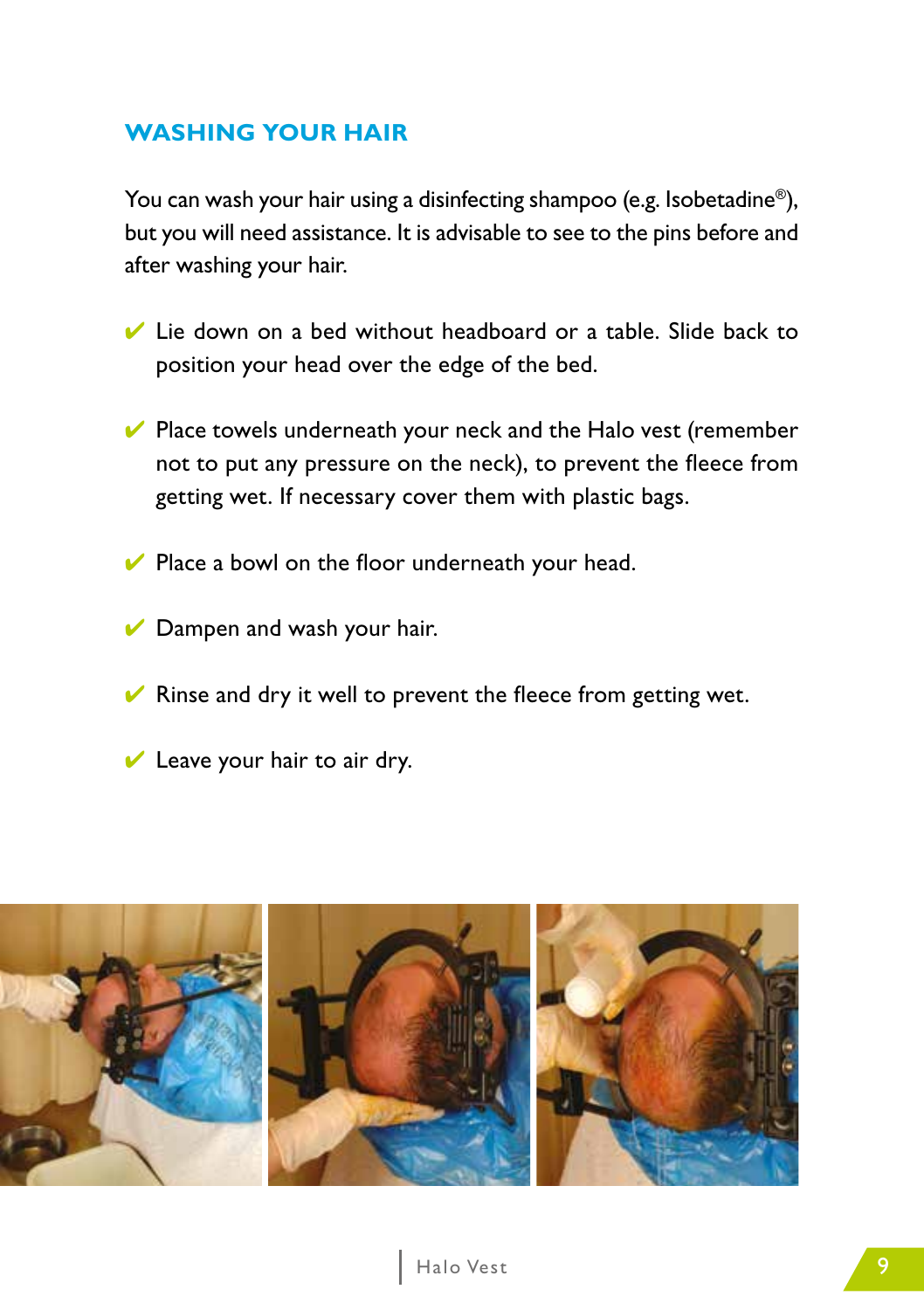#### **WASHING YOUR HAIR**

You can wash your hair using a disinfecting shampoo (e.g. Isobetadine<sup>®</sup>), but you will need assistance. It is advisable to see to the pins before and after washing your hair.

- $\vee$  Lie down on a bed without headboard or a table. Slide back to position your head over the edge of the bed.
- $\vee$  Place towels underneath your neck and the Halo vest (remember not to put any pressure on the neck), to prevent the fleece from getting wet. If necessary cover them with plastic bags.
- $\vee$  Place a bowl on the floor underneath your head.
- $\vee$  Dampen and wash your hair.
- $\vee$  Rinse and dry it well to prevent the fleece from getting wet.
- $\vee$  Leave your hair to air dry.

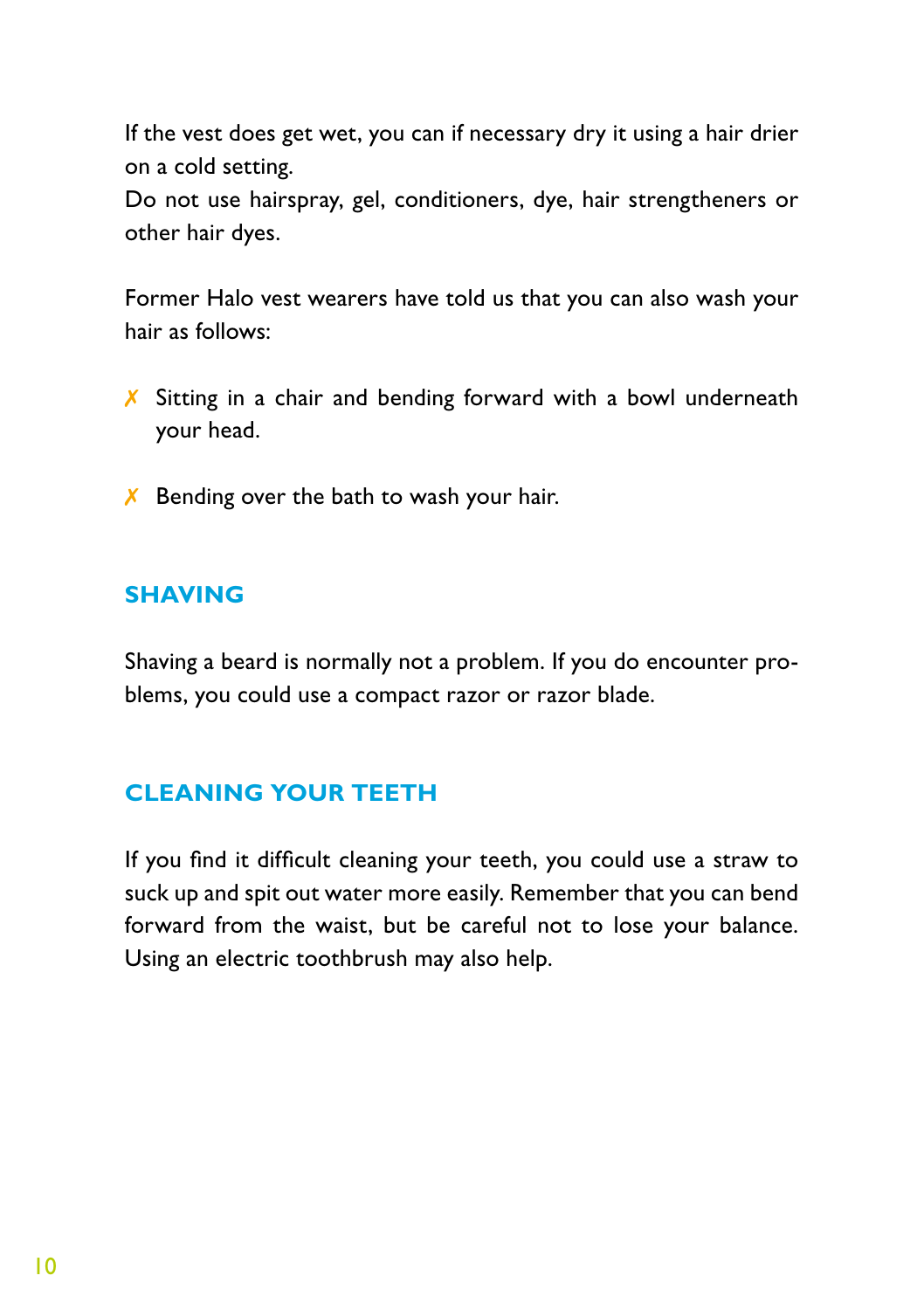If the vest does get wet, you can if necessary dry it using a hair drier on a cold setting.

Do not use hairspray, gel, conditioners, dye, hair strengtheners or other hair dyes.

Former Halo vest wearers have told us that you can also wash your hair as follows:

- X Sitting in a chair and bending forward with a bowl underneath your head.
- $\chi$  Bending over the bath to wash your hair.

#### **SHAVING**

Shaving a beard is normally not a problem. If you do encounter problems, you could use a compact razor or razor blade.

#### **CLEANING YOUR TEETH**

If you find it difficult cleaning your teeth, you could use a straw to suck up and spit out water more easily. Remember that you can bend forward from the waist, but be careful not to lose your balance. Using an electric toothbrush may also help.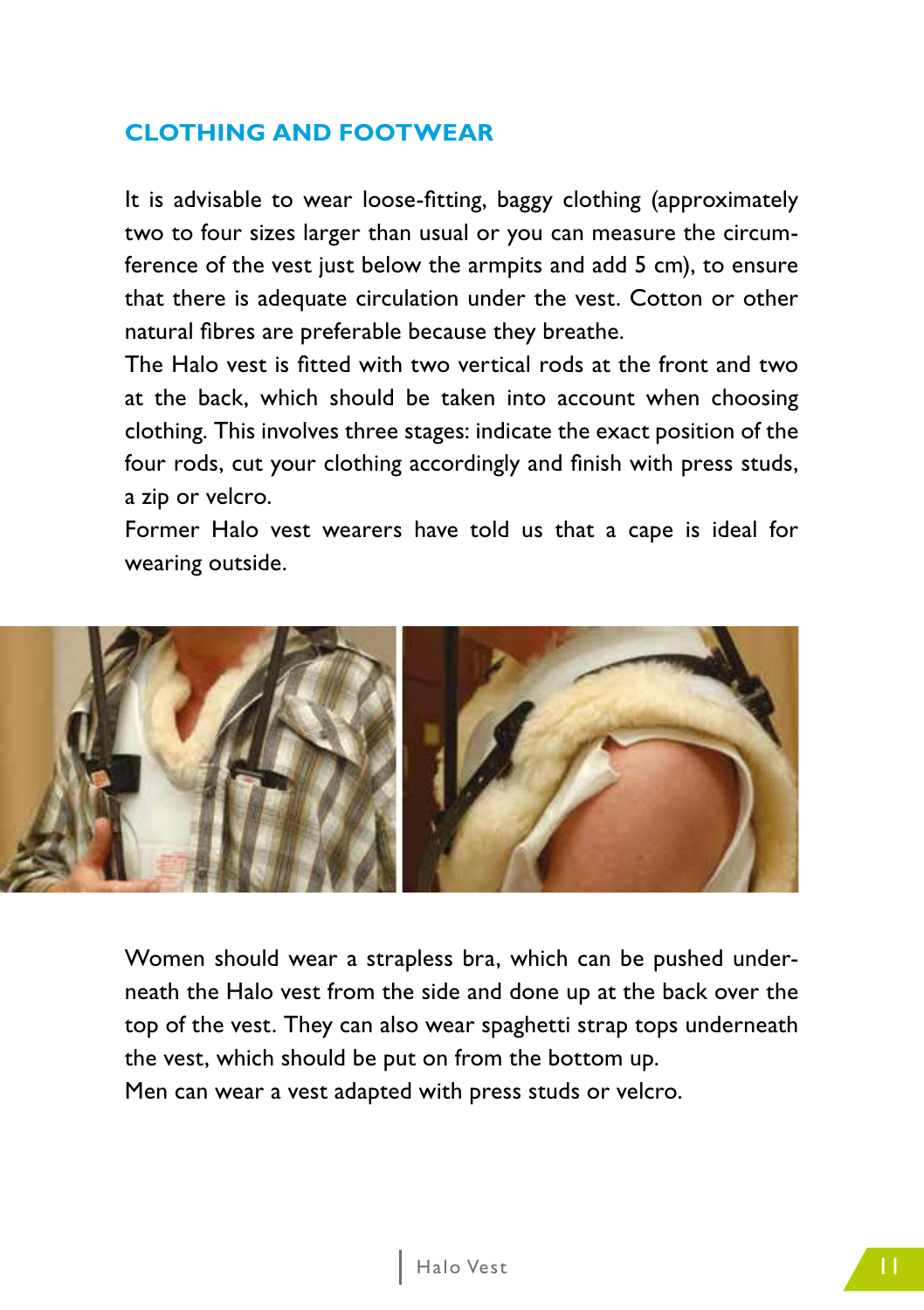#### **CLOTHING AND FOOTWEAR**

It is advisable to wear loose-fitting, baggy clothing (approximately two to four sizes larger than usual or you can measure the circumference of the vest just below the armpits and add 5 cm), to ensure that there is adequate circulation under the vest. Cotton or other natural fibres are preferable because they breathe.

The Halo vest is fitted with two vertical rods at the front and two at the back, which should be taken into account when choosing clothing. This involves three stages: indicate the exact position of the four rods, cut your clothing accordingly and finish with press studs, a zip or velcro.

Former Halo vest wearers have told us that a cape is ideal for wearing outside.



Women should wear a strapless bra, which can be pushed underneath the Halo vest from the side and done up at the back over the top of the vest. They can also wear spaghetti strap tops underneath the vest, which should be put on from the bottom up. Men can wear a vest adapted with press studs or velcro.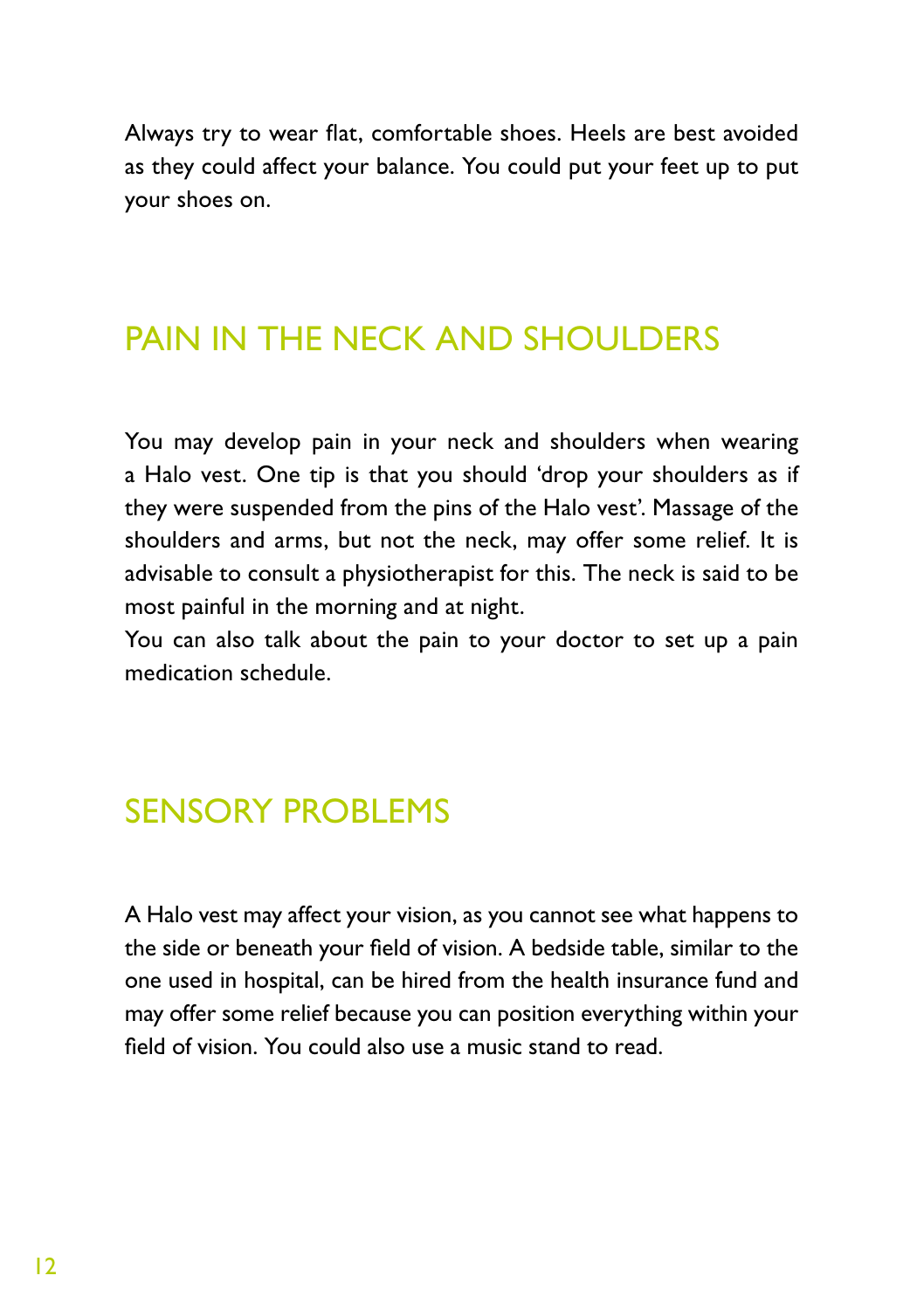Always try to wear flat, comfortable shoes. Heels are best avoided as they could affect your balance. You could put your feet up to put your shoes on.

### PAIN IN THE NECK AND SHOULDERS

You may develop pain in your neck and shoulders when wearing a Halo vest. One tip is that you should 'drop your shoulders as if they were suspended from the pins of the Halo vest'. Massage of the shoulders and arms, but not the neck, may offer some relief. It is advisable to consult a physiotherapist for this. The neck is said to be most painful in the morning and at night.

You can also talk about the pain to your doctor to set up a pain medication schedule.

### SENSORY PROBLEMS

A Halo vest may affect your vision, as you cannot see what happens to the side or beneath your field of vision. A bedside table, similar to the one used in hospital, can be hired from the health insurance fund and may offer some relief because you can position everything within your field of vision. You could also use a music stand to read.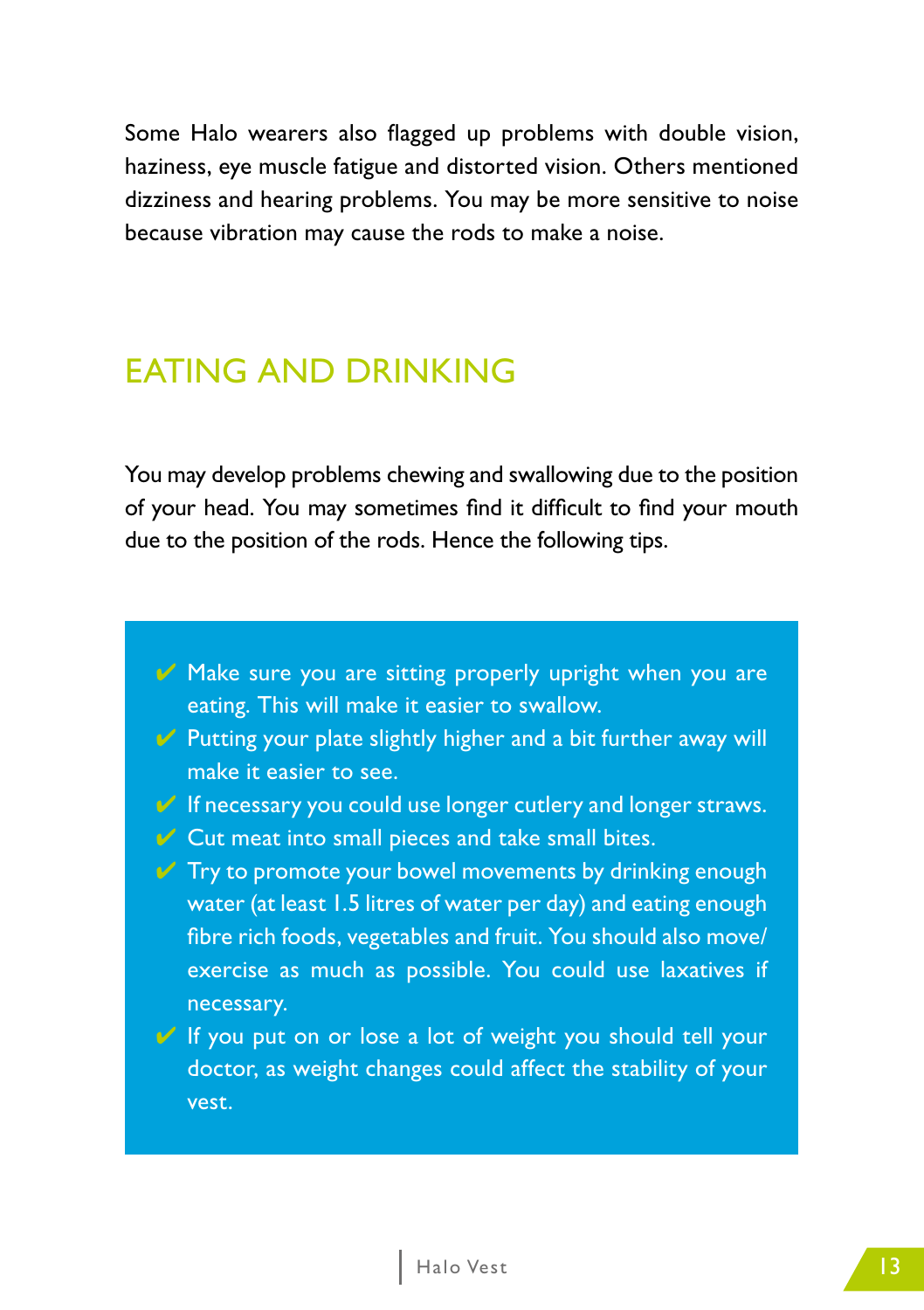Some Halo wearers also flagged up problems with double vision, haziness, eye muscle fatigue and distorted vision. Others mentioned dizziness and hearing problems. You may be more sensitive to noise because vibration may cause the rods to make a noise.

### EATING AND DRINKING

You may develop problems chewing and swallowing due to the position of your head. You may sometimes find it difficult to find your mouth due to the position of the rods. Hence the following tips.

- Make sure you are sitting properly upright when you are eating. This will make it easier to swallow.
- $\vee$  Putting your plate slightly higher and a bit further away will make it easier to see.
- If necessary you could use longer cutlery and longer straws.
- $\vee$  Cut meat into small pieces and take small bites.
- $\mathcal V$  Try to promote your bowel movements by drinking enough water (at least 1.5 litres of water per day) and eating enough fibre rich foods, vegetables and fruit. You should also move/ exercise as much as possible. You could use laxatives if necessary.
- ↓ If you put on or lose a lot of weight you should tell your doctor, as weight changes could affect the stability of your vest.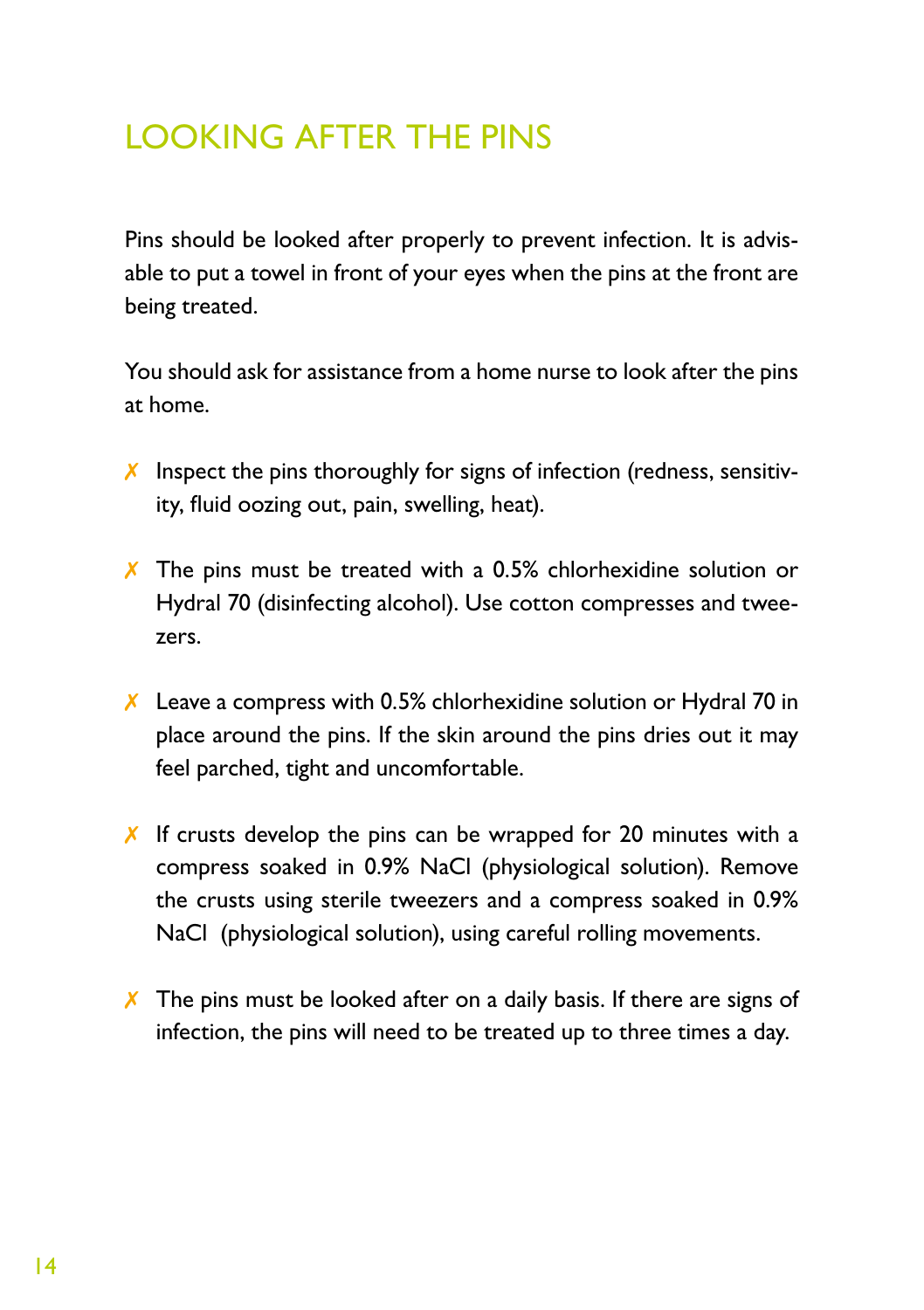## LOOKING AFTER THE PINS

Pins should be looked after properly to prevent infection. It is advisable to put a towel in front of your eyes when the pins at the front are being treated.

You should ask for assistance from a home nurse to look after the pins at home.

- $\chi$  Inspect the pins thoroughly for signs of infection (redness, sensitivity, fluid oozing out, pain, swelling, heat).
- ✗ The pins must be treated with a 0.5% chlorhexidine solution or Hydral 70 (disinfecting alcohol). Use cotton compresses and tweezers.
- ✗ Leave a compress with 0.5% chlorhexidine solution or Hydral 70 in place around the pins. If the skin around the pins dries out it may feel parched, tight and uncomfortable.
- $\chi$  If crusts develop the pins can be wrapped for 20 minutes with a compress soaked in 0.9% NaCl (physiological solution). Remove the crusts using sterile tweezers and a compress soaked in 0.9% NaCl (physiological solution), using careful rolling movements.
- $\chi$  The pins must be looked after on a daily basis. If there are signs of infection, the pins will need to be treated up to three times a day.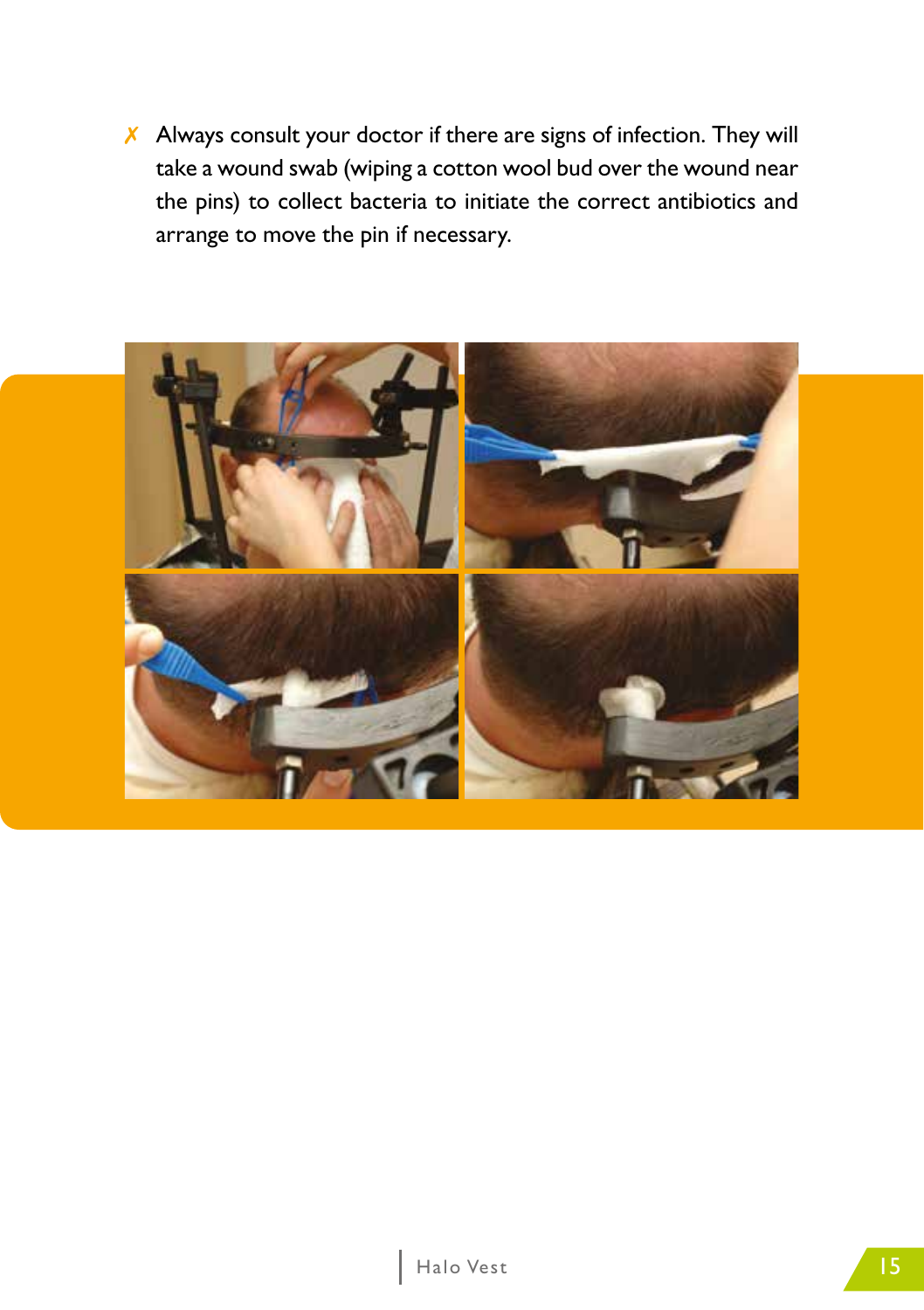$\chi$  Always consult your doctor if there are signs of infection. They will take a wound swab (wiping a cotton wool bud over the wound near the pins) to collect bacteria to initiate the correct antibiotics and arrange to move the pin if necessary.

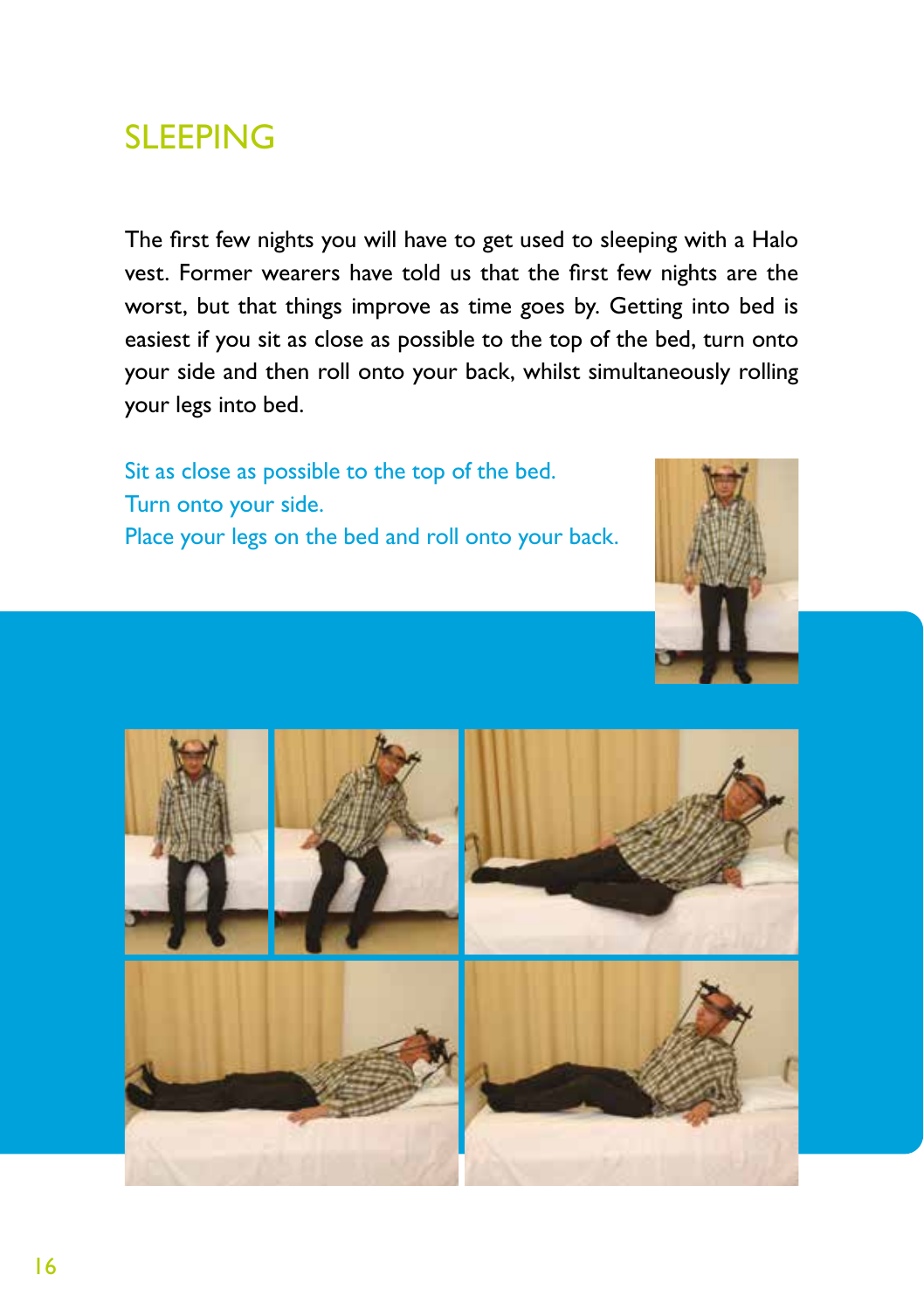### SLEEPING

The first few nights you will have to get used to sleeping with a Halo vest. Former wearers have told us that the first few nights are the worst, but that things improve as time goes by. Getting into bed is easiest if you sit as close as possible to the top of the bed, turn onto your side and then roll onto your back, whilst simultaneously rolling your legs into bed.

Sit as close as possible to the top of the bed. Turn onto your side. Place your legs on the bed and roll onto your back.



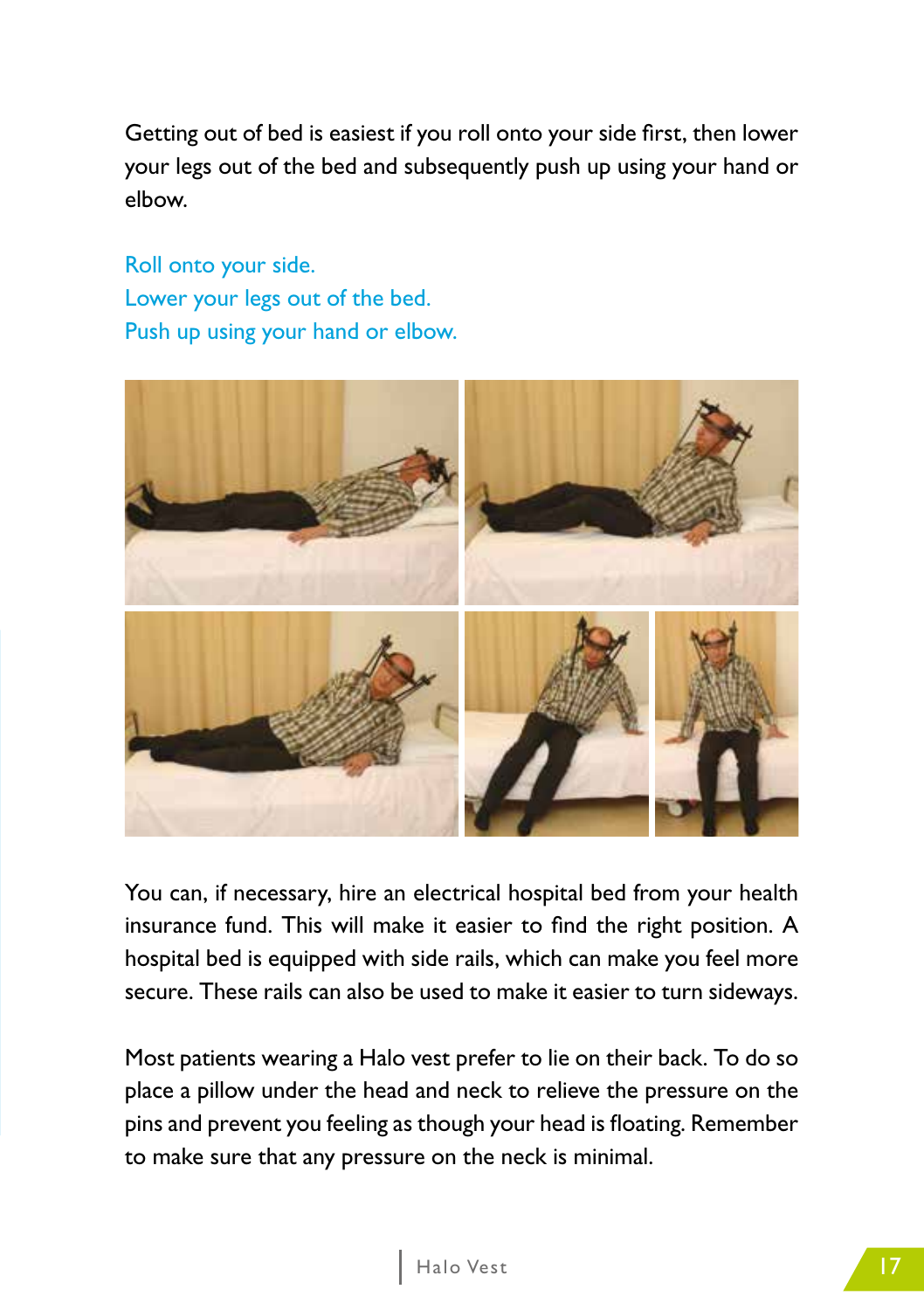Getting out of bed is easiest if you roll onto your side first, then lower your legs out of the bed and subsequently push up using your hand or elbow.

Roll onto your side. Lower your legs out of the bed. Push up using your hand or elbow.



You can, if necessary, hire an electrical hospital bed from your health insurance fund. This will make it easier to find the right position. A hospital bed is equipped with side rails, which can make you feel more secure. These rails can also be used to make it easier to turn sideways.

Most patients wearing a Halo vest prefer to lie on their back. To do so place a pillow under the head and neck to relieve the pressure on the pins and prevent you feeling as though your head is floating. Remember to make sure that any pressure on the neck is minimal.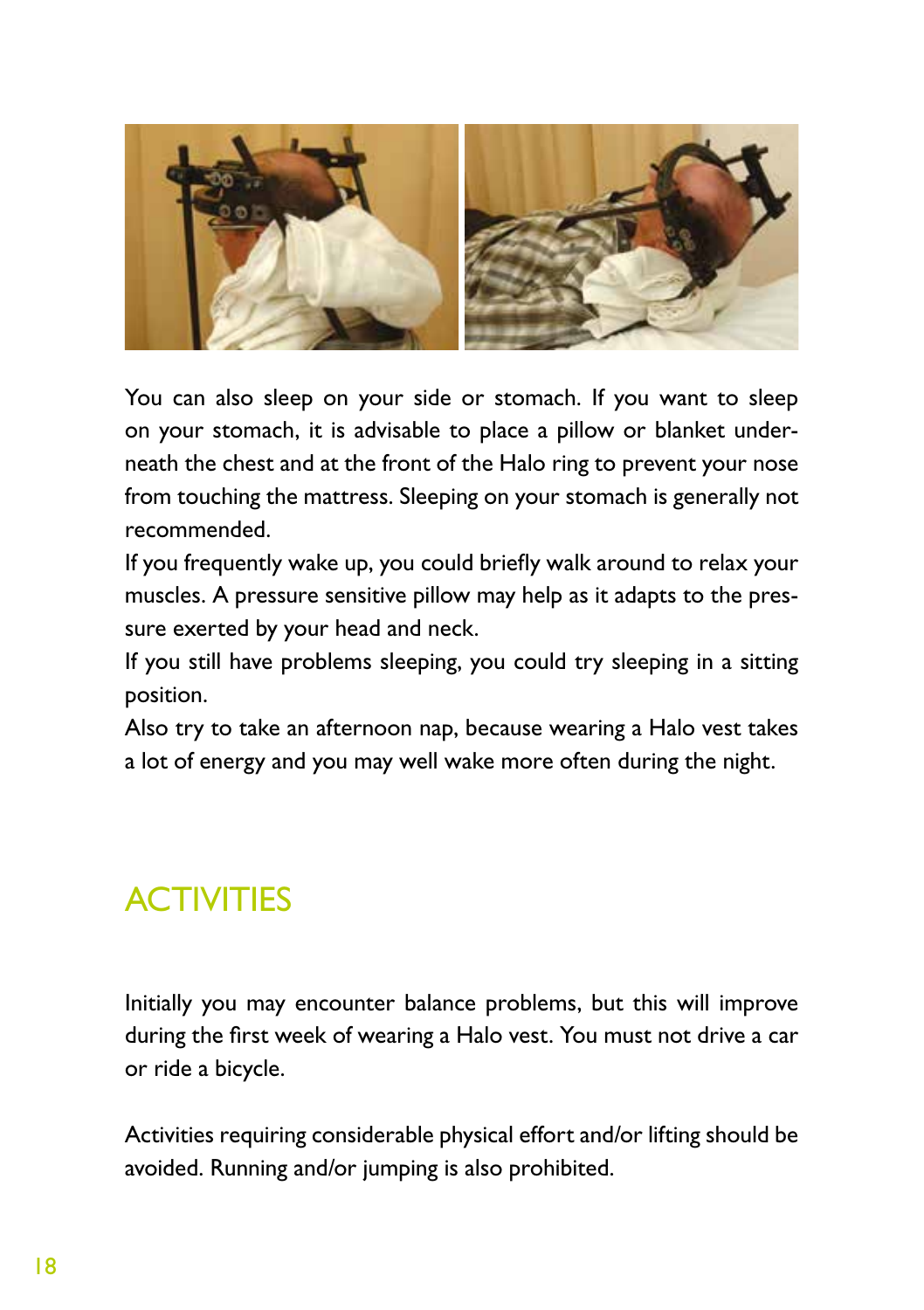

You can also sleep on your side or stomach. If you want to sleep on your stomach, it is advisable to place a pillow or blanket underneath the chest and at the front of the Halo ring to prevent your nose from touching the mattress. Sleeping on your stomach is generally not recommended.

If you frequently wake up, you could briefly walk around to relax your muscles. A pressure sensitive pillow may help as it adapts to the pressure exerted by your head and neck.

If you still have problems sleeping, you could try sleeping in a sitting position.

Also try to take an afternoon nap, because wearing a Halo vest takes a lot of energy and you may well wake more often during the night.

### **ACTIVITIES**

Initially you may encounter balance problems, but this will improve during the first week of wearing a Halo vest. You must not drive a car or ride a bicycle.

Activities requiring considerable physical effort and/or lifting should be avoided. Running and/or jumping is also prohibited.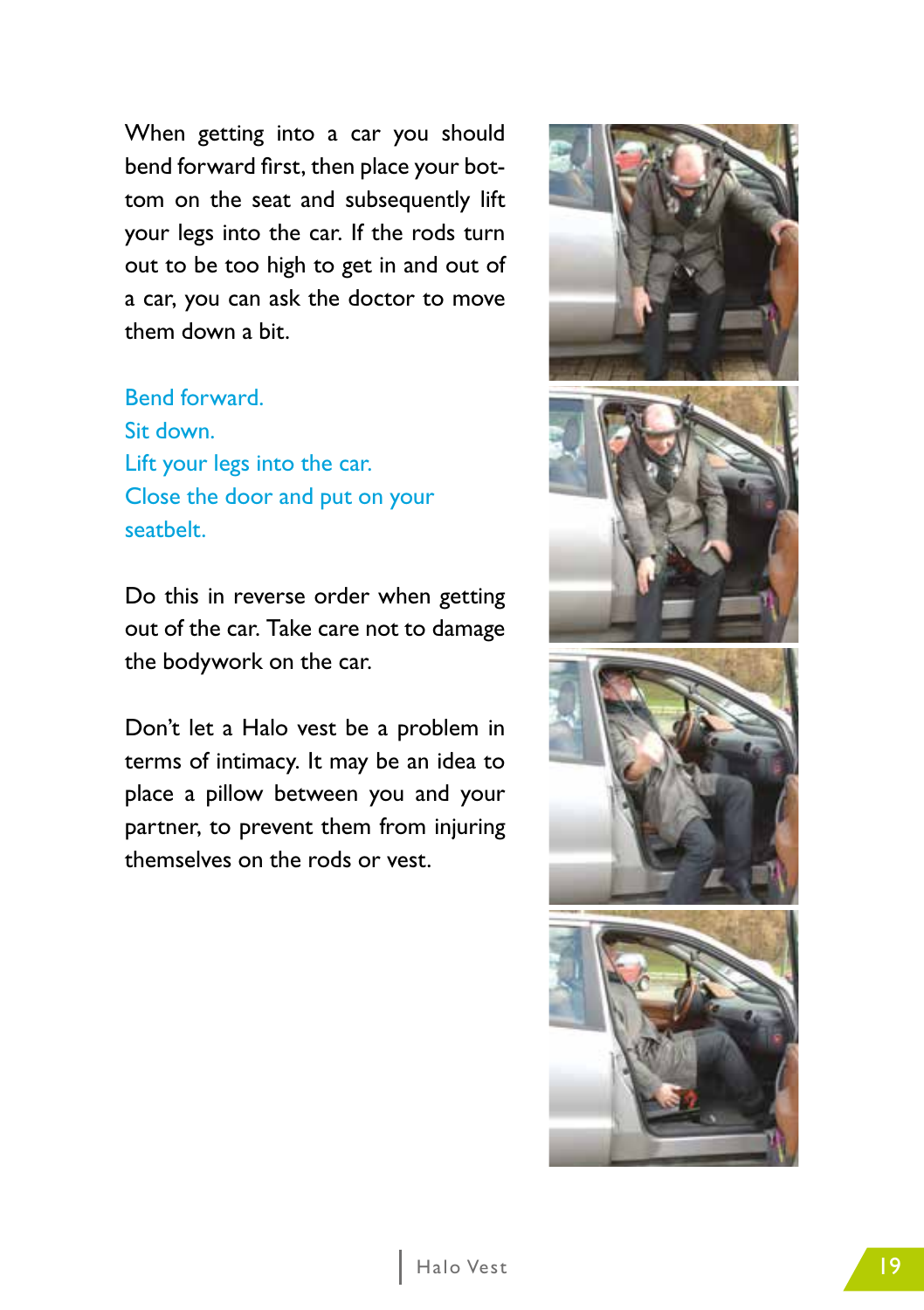When getting into a car you should bend forward first, then place your bottom on the seat and subsequently lift your legs into the car. If the rods turn out to be too high to get in and out of a car, you can ask the doctor to move them down a bit.

Bend forward. Sit down. Lift your legs into the car. Close the door and put on your seatbelt.

Do this in reverse order when getting out of the car. Take care not to damage the bodywork on the car.

Don't let a Halo vest be a problem in terms of intimacy. It may be an idea to place a pillow between you and your partner, to prevent them from injuring themselves on the rods or vest.

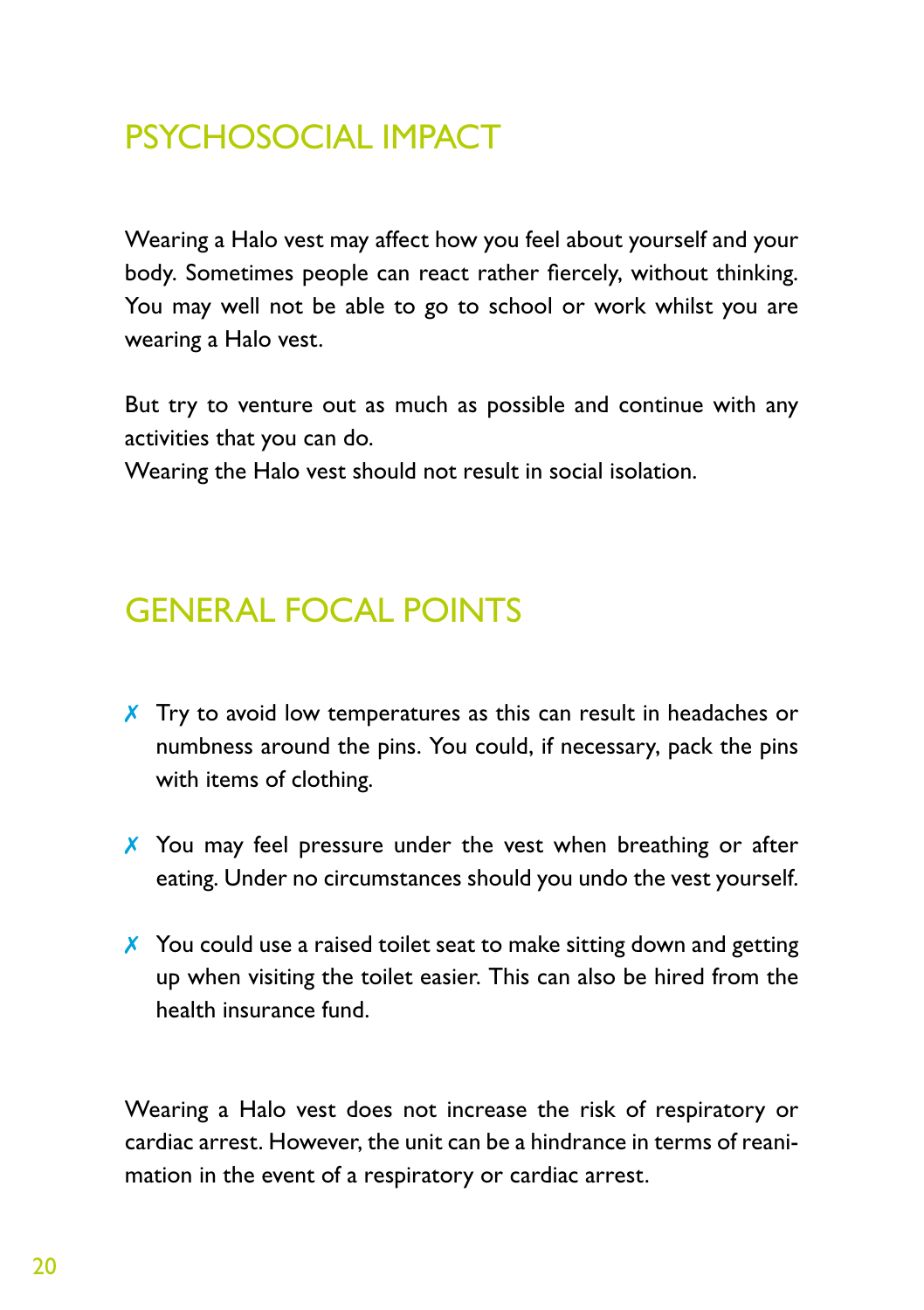## PSYCHOSOCIAL IMPACT

Wearing a Halo vest may affect how you feel about yourself and your body. Sometimes people can react rather fiercely, without thinking. You may well not be able to go to school or work whilst you are wearing a Halo vest.

But try to venture out as much as possible and continue with any activities that you can do.

Wearing the Halo vest should not result in social isolation.

### GENERAL FOCAL POINTS

- X Try to avoid low temperatures as this can result in headaches or numbness around the pins. You could, if necessary, pack the pins with items of clothing.
- X You may feel pressure under the vest when breathing or after eating. Under no circumstances should you undo the vest yourself.
- $\chi$  You could use a raised toilet seat to make sitting down and getting up when visiting the toilet easier. This can also be hired from the health insurance fund.

Wearing a Halo vest does not increase the risk of respiratory or cardiac arrest. However, the unit can be a hindrance in terms of reanimation in the event of a respiratory or cardiac arrest.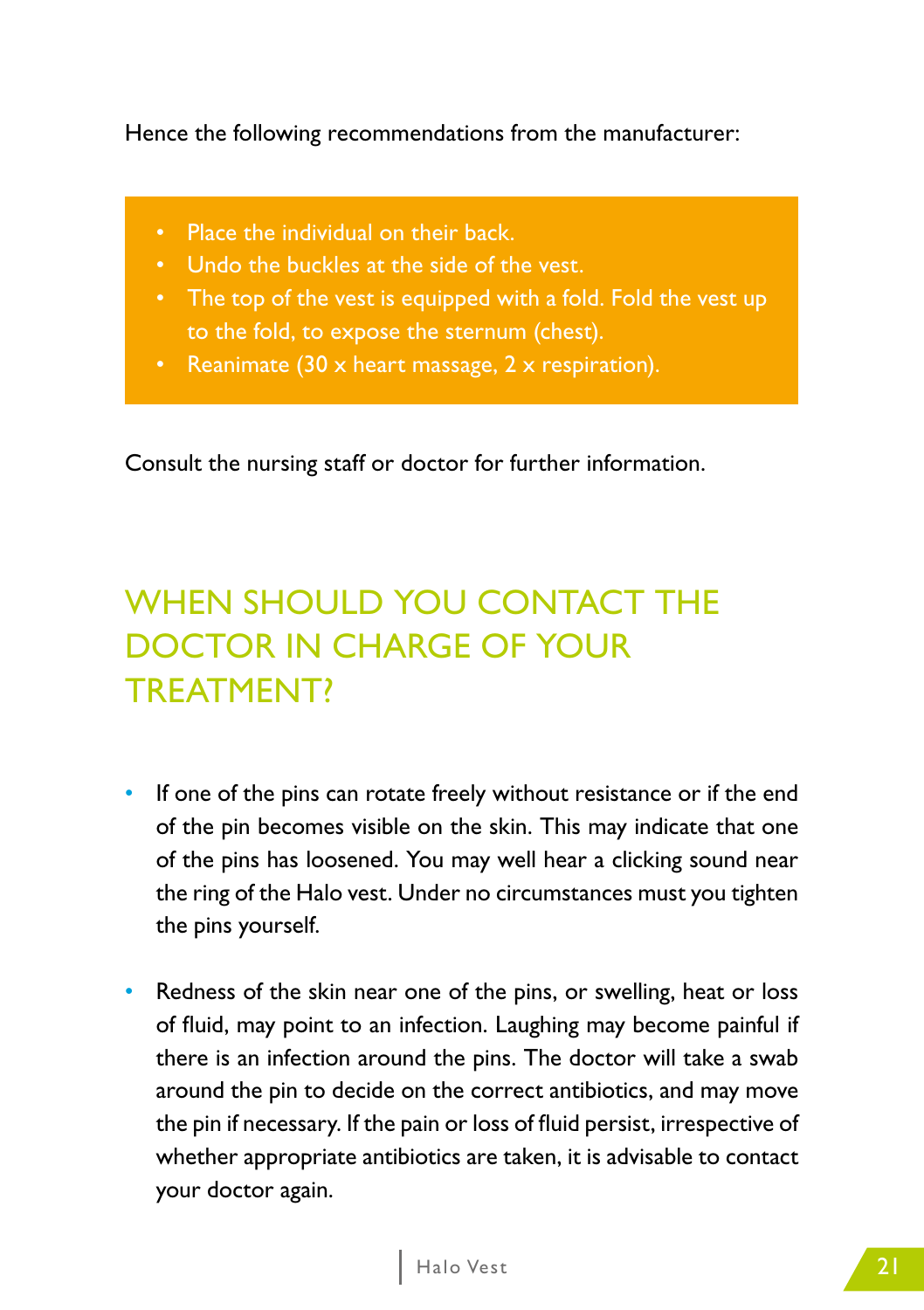Hence the following recommendations from the manufacturer:

- Place the individual on their back.
- Undo the buckles at the side of the vest.
- The top of the vest is equipped with a fold. Fold the vest up to the fold, to expose the sternum (chest).
- **Reanimate (30 x heart massage, 2 x respiration).**

Consult the nursing staff or doctor for further information.

# WHEN SHOULD YOU CONTACT THE DOCTOR IN CHARGE OF YOUR TREATMENT?

- If one of the pins can rotate freely without resistance or if the end of the pin becomes visible on the skin. This may indicate that one of the pins has loosened. You may well hear a clicking sound near the ring of the Halo vest. Under no circumstances must you tighten the pins yourself.
- Redness of the skin near one of the pins, or swelling, heat or loss of fluid, may point to an infection. Laughing may become painful if there is an infection around the pins. The doctor will take a swab around the pin to decide on the correct antibiotics, and may move the pin if necessary. If the pain or loss of fluid persist, irrespective of whether appropriate antibiotics are taken, it is advisable to contact your doctor again.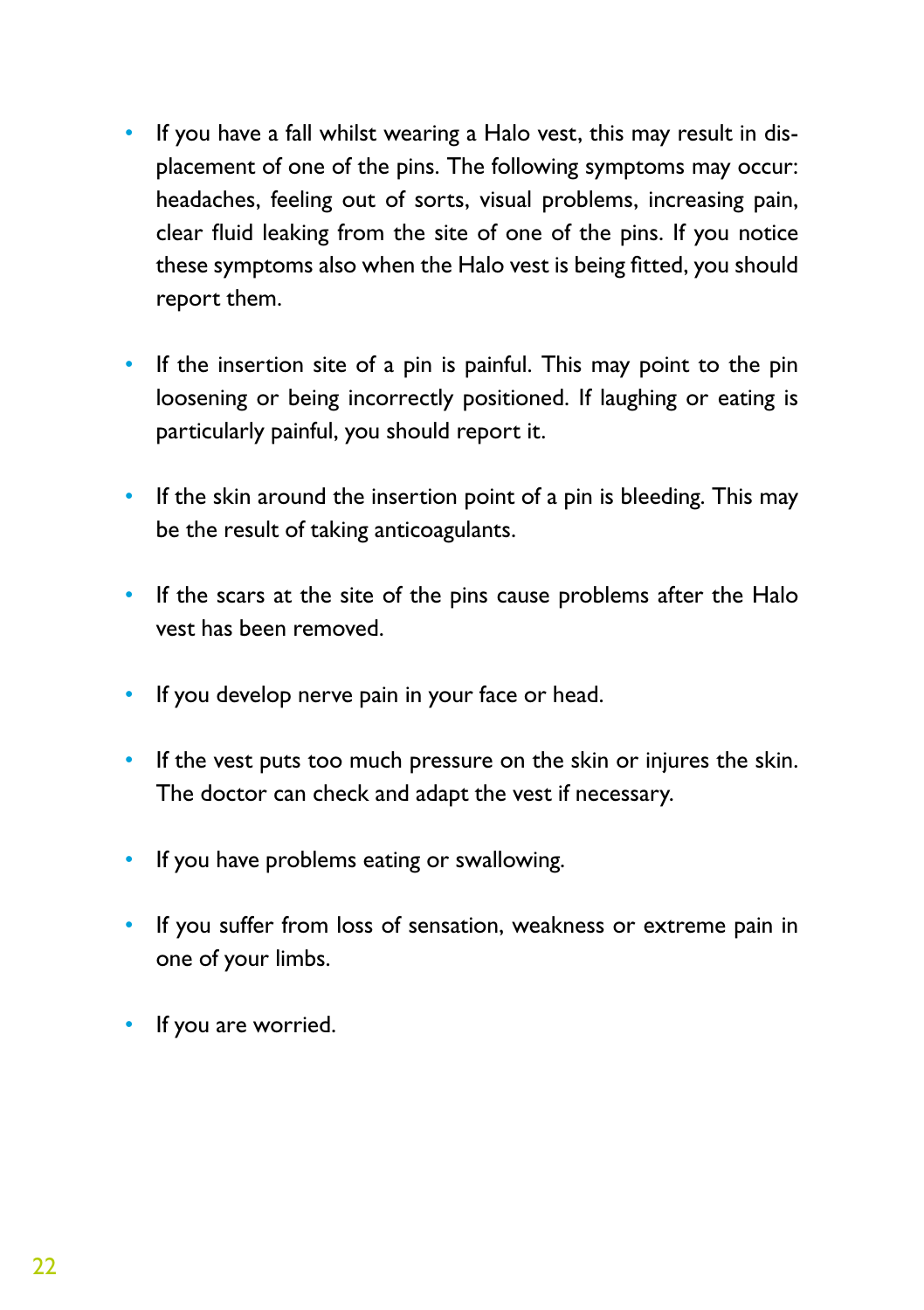- If you have a fall whilst wearing a Halo vest, this may result in displacement of one of the pins. The following symptoms may occur: headaches, feeling out of sorts, visual problems, increasing pain, clear fluid leaking from the site of one of the pins. If you notice these symptoms also when the Halo vest is being fitted, you should report them.
- If the insertion site of a pin is painful. This may point to the pin loosening or being incorrectly positioned. If laughing or eating is particularly painful, you should report it.
- If the skin around the insertion point of a pin is bleeding. This may be the result of taking anticoagulants.
- If the scars at the site of the pins cause problems after the Halo vest has been removed.
- If you develop nerve pain in your face or head.
- If the vest puts too much pressure on the skin or injures the skin. The doctor can check and adapt the vest if necessary.
- If you have problems eating or swallowing.
- If you suffer from loss of sensation, weakness or extreme pain in one of your limbs.
- If you are worried.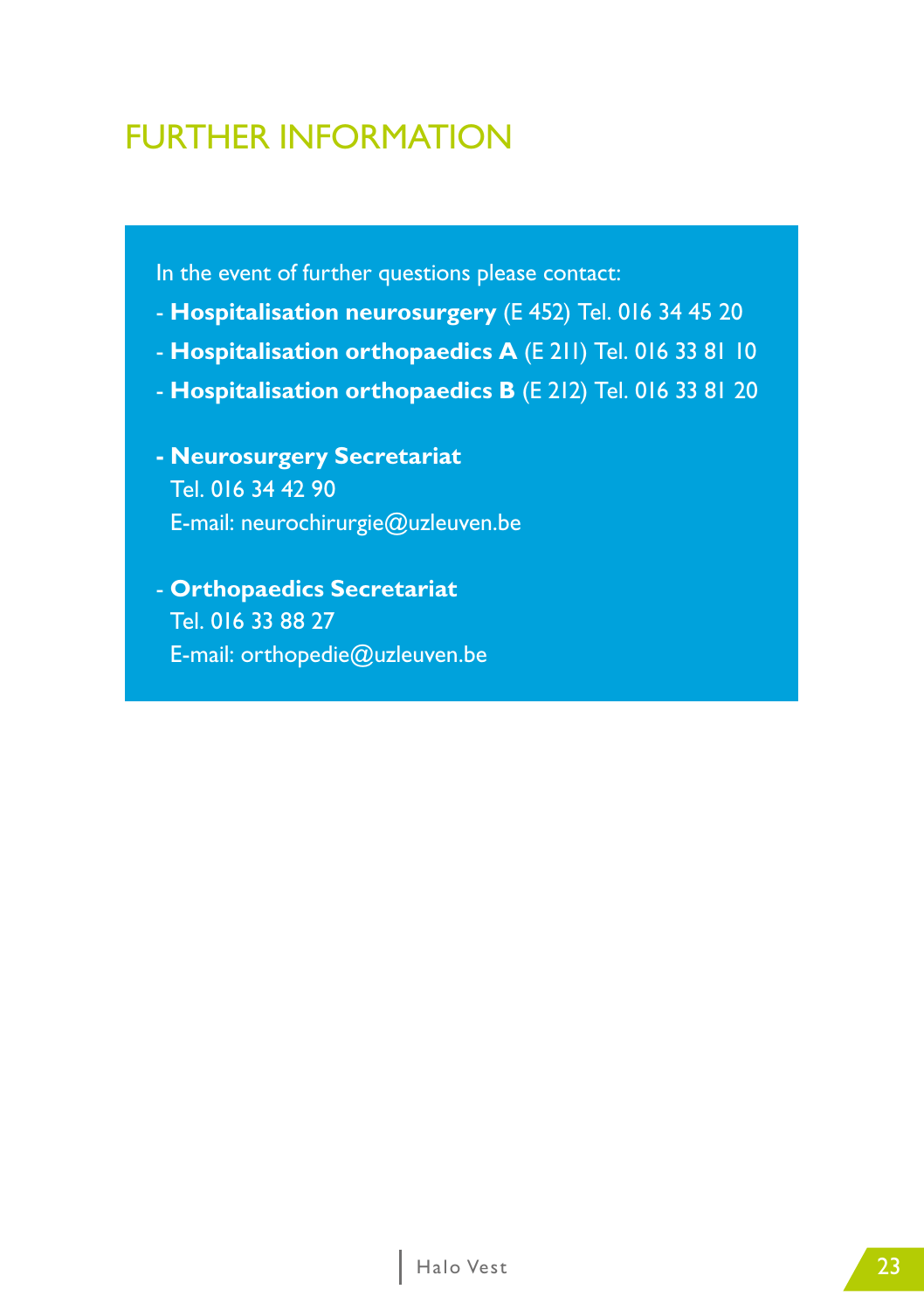### FURTHER INFORMATION

In the event of further questions please contact:

- **Hospitalisation neurosurgery** (E 452) Tel. 016 34 45 20
- **Hospitalisation orthopaedics A** (E 211) Tel. 016 33 81 10
- **Hospitalisation orthopaedics B** (E 212) Tel. 016 33 81 20
- **Neurosurgery Secretariat** Tel. 016 34 42 90 E-mail: neurochirurgie@uzleuven.be
- **Orthopaedics Secretariat** Tel. 016 33 88 27 E-mail: orthopedie@uzleuven.be